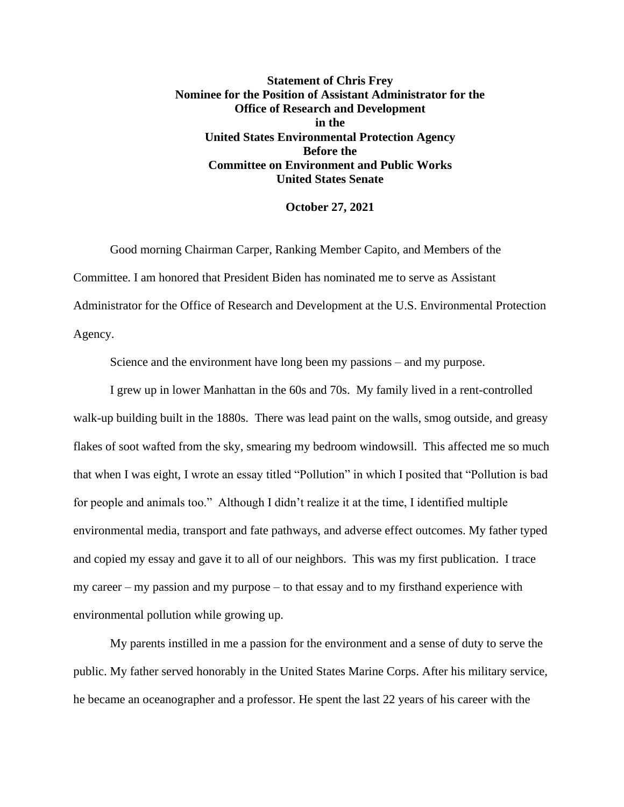**Statement of Chris Frey Nominee for the Position of Assistant Administrator for the Office of Research and Development in the United States Environmental Protection Agency Before the Committee on Environment and Public Works United States Senate**

## **October 27, 2021**

Good morning Chairman Carper, Ranking Member Capito, and Members of the Committee. I am honored that President Biden has nominated me to serve as Assistant Administrator for the Office of Research and Development at the U.S. Environmental Protection Agency.

Science and the environment have long been my passions – and my purpose.

I grew up in lower Manhattan in the 60s and 70s. My family lived in a rent-controlled walk-up building built in the 1880s. There was lead paint on the walls, smog outside, and greasy flakes of soot wafted from the sky, smearing my bedroom windowsill. This affected me so much that when I was eight, I wrote an essay titled "Pollution" in which I posited that "Pollution is bad for people and animals too." Although I didn't realize it at the time, I identified multiple environmental media, transport and fate pathways, and adverse effect outcomes. My father typed and copied my essay and gave it to all of our neighbors. This was my first publication. I trace my career – my passion and my purpose – to that essay and to my firsthand experience with environmental pollution while growing up.

My parents instilled in me a passion for the environment and a sense of duty to serve the public. My father served honorably in the United States Marine Corps. After his military service, he became an oceanographer and a professor. He spent the last 22 years of his career with the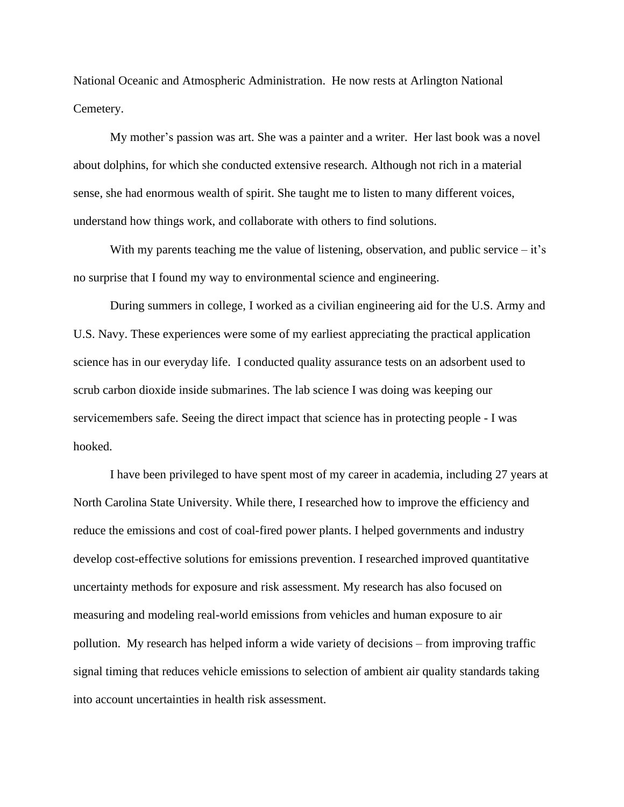National Oceanic and Atmospheric Administration. He now rests at Arlington National Cemetery.

My mother's passion was art. She was a painter and a writer. Her last book was a novel about dolphins, for which she conducted extensive research. Although not rich in a material sense, she had enormous wealth of spirit. She taught me to listen to many different voices, understand how things work, and collaborate with others to find solutions.

With my parents teaching me the value of listening, observation, and public service  $-i\dot{\tau}$ 's no surprise that I found my way to environmental science and engineering.

During summers in college, I worked as a civilian engineering aid for the U.S. Army and U.S. Navy. These experiences were some of my earliest appreciating the practical application science has in our everyday life. I conducted quality assurance tests on an adsorbent used to scrub carbon dioxide inside submarines. The lab science I was doing was keeping our servicemembers safe. Seeing the direct impact that science has in protecting people - I was hooked.

I have been privileged to have spent most of my career in academia, including 27 years at North Carolina State University. While there, I researched how to improve the efficiency and reduce the emissions and cost of coal-fired power plants. I helped governments and industry develop cost-effective solutions for emissions prevention. I researched improved quantitative uncertainty methods for exposure and risk assessment. My research has also focused on measuring and modeling real-world emissions from vehicles and human exposure to air pollution. My research has helped inform a wide variety of decisions – from improving traffic signal timing that reduces vehicle emissions to selection of ambient air quality standards taking into account uncertainties in health risk assessment.